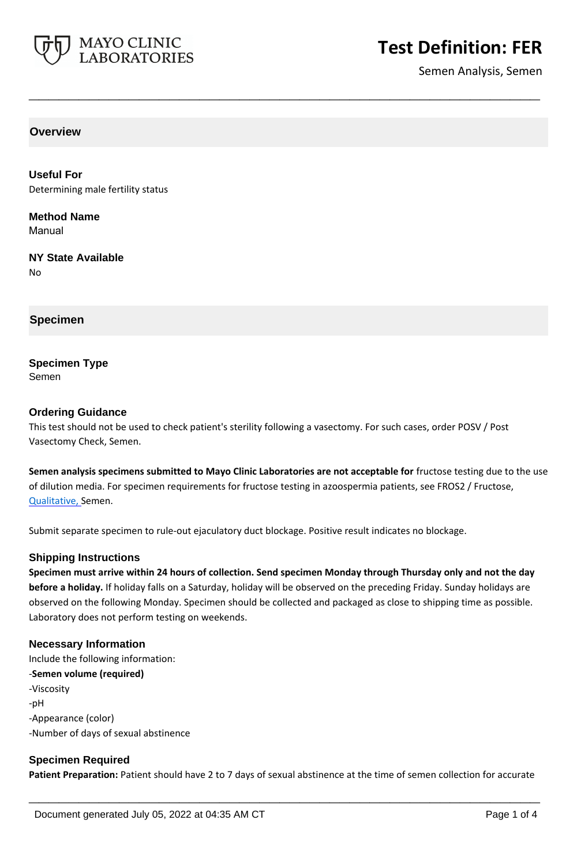

Semen Analysis, Semen

**Overview**

**Useful For** Determining male fertility status

**Method Name** Manual

**NY State Available** No

**Specimen**

# **Specimen Type**

Semen

### **Ordering Guidance**

This test should not be used to check patient's sterility following a vasectomy. For such cases, order POSV / Post Vasectomy Check, Semen.

**Semen analysis specimens submitted to Mayo Clinic Laboratories are not acceptable for** fructose testing due to the use of dilution media. For specimen requirements for fructose testing in azoospermia patients, see FROS2 / Fructose, Qualitative, Semen.

**\_\_\_\_\_\_\_\_\_\_\_\_\_\_\_\_\_\_\_\_\_\_\_\_\_\_\_\_\_\_\_\_\_\_\_\_\_\_\_\_\_\_\_\_\_\_\_\_\_\_\_**

Submit separate specimen to rule-out ejaculatory duct blockage. Positive result indicates no blockage.

### **Shipping Instructions**

**Specimen must arrive within 24 hours of collection. Send specimen Monday through Thursday only and not the day before a holiday.** If holiday falls on a Saturday, holiday will be observed on the preceding Friday. Sunday holidays are observed on the following Monday. Specimen should be collected and packaged as close to shipping time as possible. Laboratory does not perform testing on weekends.

### **Necessary Information**

Include the following information: -**Semen volume (required)** -Viscosity -pH -Appearance (color) -Number of days of sexual abstinence

# **Specimen Required**

**Patient Preparation:** Patient should have 2 to 7 days of sexual abstinence at the time of semen collection for accurate

**\_\_\_\_\_\_\_\_\_\_\_\_\_\_\_\_\_\_\_\_\_\_\_\_\_\_\_\_\_\_\_\_\_\_\_\_\_\_\_\_\_\_\_\_\_\_\_\_\_\_\_**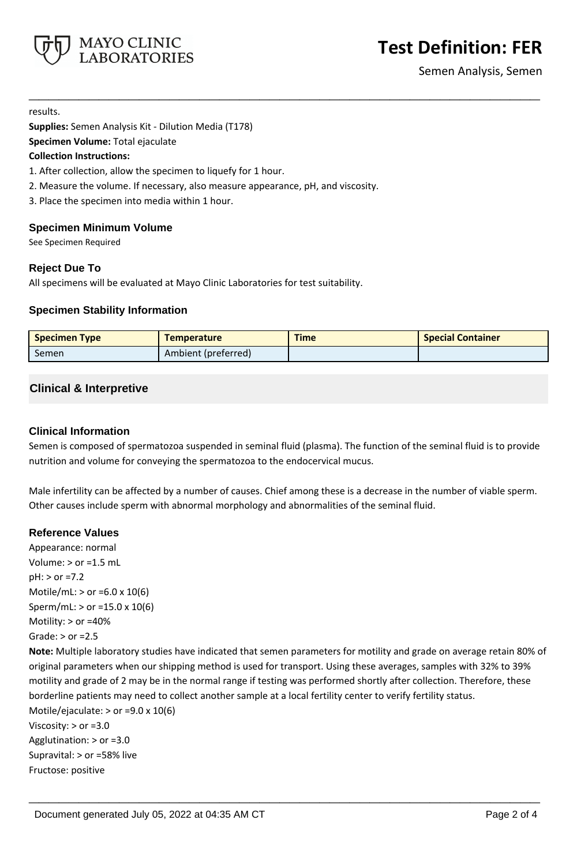

Semen Analysis, Semen

results.

**Supplies:** Semen Analysis Kit - Dilution Media (T178)

**Specimen Volume:** Total ejaculate

### **Collection Instructions:**

1. After collection, allow the specimen to liquefy for 1 hour.

- 2. Measure the volume. If necessary, also measure appearance, pH, and viscosity.
- 3. Place the specimen into media within 1 hour.

## **Specimen Minimum Volume**

See Specimen Required

# **Reject Due To**

All specimens will be evaluated at Mayo Clinic Laboratories for test suitability.

# **Specimen Stability Information**

| <b>Specimen Type</b> | <b>Temperature</b>  | <b>Time</b> | <b>Special Container</b> |
|----------------------|---------------------|-------------|--------------------------|
| Semen                | Ambient (preferred) |             |                          |

**\_\_\_\_\_\_\_\_\_\_\_\_\_\_\_\_\_\_\_\_\_\_\_\_\_\_\_\_\_\_\_\_\_\_\_\_\_\_\_\_\_\_\_\_\_\_\_\_\_\_\_**

# **Clinical & Interpretive**

## **Clinical Information**

Semen is composed of spermatozoa suspended in seminal fluid (plasma). The function of the seminal fluid is to provide nutrition and volume for conveying the spermatozoa to the endocervical mucus.

Male infertility can be affected by a number of causes. Chief among these is a decrease in the number of viable sperm. Other causes include sperm with abnormal morphology and abnormalities of the seminal fluid.

**\_\_\_\_\_\_\_\_\_\_\_\_\_\_\_\_\_\_\_\_\_\_\_\_\_\_\_\_\_\_\_\_\_\_\_\_\_\_\_\_\_\_\_\_\_\_\_\_\_\_\_**

# **Reference Values**

Appearance: normal Volume:  $>$  or =1.5 mL pH: > or =7.2 Motile/mL: > or =6.0 x 10(6) Sperm/mL: > or =15.0 x 10(6) Motility: > or =40% Grade:  $>$  or =2.5 **Note:** Multiple laboratory studies have indicated that semen parameters for motility and grade on average retain 80% of original parameters when our shipping method is used for transport. Using these averages, samples with 32% to 39% motility and grade of 2 may be in the normal range if testing was performed shortly after collection. Therefore, these borderline patients may need to collect another sample at a local fertility center to verify fertility status. Motile/ejaculate:  $>$  or =9.0 x 10(6) Viscosity: > or =3.0 Agglutination: > or =3.0 Supravital: > or =58% live Fructose: positive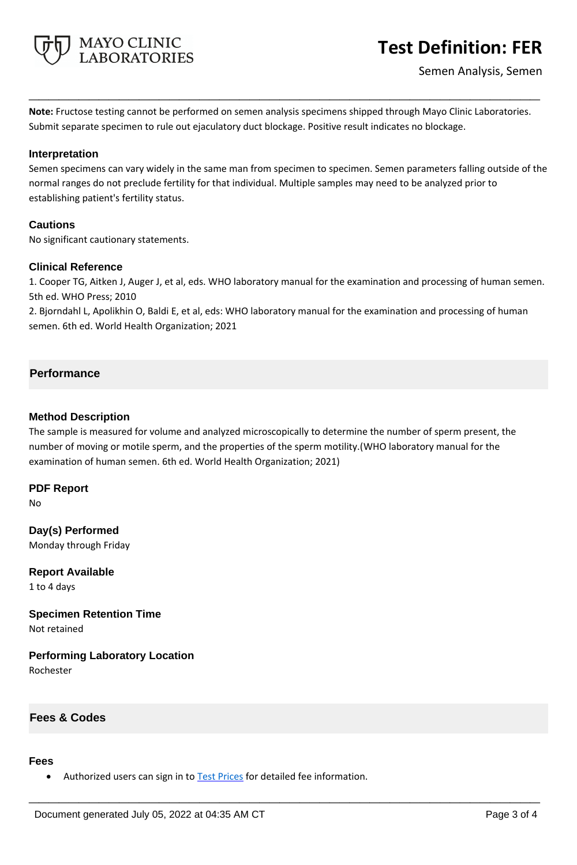

**Note:** Fructose testing cannot be performed on semen analysis specimens shipped through Mayo Clinic Laboratories. Submit separate specimen to rule out ejaculatory duct blockage. Positive result indicates no blockage.

**\_\_\_\_\_\_\_\_\_\_\_\_\_\_\_\_\_\_\_\_\_\_\_\_\_\_\_\_\_\_\_\_\_\_\_\_\_\_\_\_\_\_\_\_\_\_\_\_\_\_\_**

## **Interpretation**

Semen specimens can vary widely in the same man from specimen to specimen. Semen parameters falling outside of the normal ranges do not preclude fertility for that individual. Multiple samples may need to be analyzed prior to establishing patient's fertility status.

# **Cautions**

No significant cautionary statements.

## **Clinical Reference**

1. Cooper TG, Aitken J, Auger J, et al, eds. WHO laboratory manual for the examination and processing of human semen. 5th ed. WHO Press; 2010

2. Bjorndahl L, Apolikhin O, Baldi E, et al, eds: WHO laboratory manual for the examination and processing of human semen. 6th ed. World Health Organization; 2021

# **Performance**

### **Method Description**

The sample is measured for volume and analyzed microscopically to determine the number of sperm present, the number of moving or motile sperm, and the properties of the sperm motility.(WHO laboratory manual for the examination of human semen. 6th ed. World Health Organization; 2021)

**\_\_\_\_\_\_\_\_\_\_\_\_\_\_\_\_\_\_\_\_\_\_\_\_\_\_\_\_\_\_\_\_\_\_\_\_\_\_\_\_\_\_\_\_\_\_\_\_\_\_\_**

**PDF Report** No

**Day(s) Performed** Monday through Friday

**Report Available** 1 to 4 days

**Specimen Retention Time** Not retained

**Performing Laboratory Location**

Rochester

# **Fees & Codes**

#### **Fees**

Authorized users can sign in to [Test Prices](https://www.mayocliniclabs.com/customer-service/client-price-lookup/index.html?unit_code=FER) for detailed fee information.